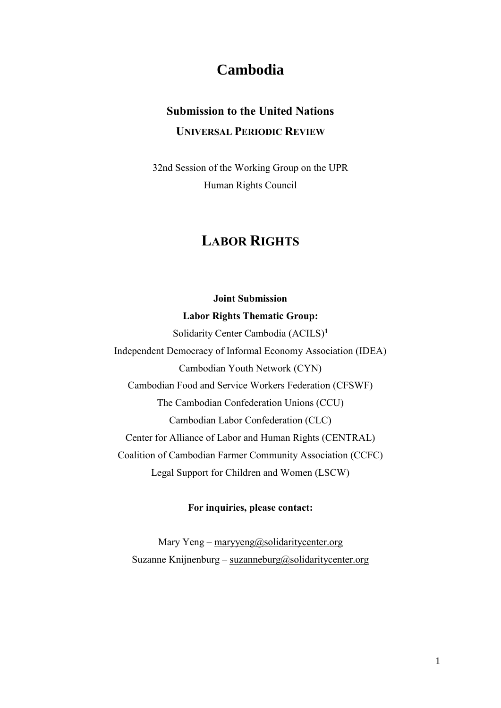## **Cambodia**

# **Submission to the United Nations UNIVERSAL PERIODIC REVIEW**

32nd Session of the Working Group on the UPR Human Rights Council

## **LABOR RIGHTS**

### **Joint Submission**

#### **Labor Rights Thematic Group:**

Solidarity Center Cambodia (ACILS)**<sup>1</sup>** Independent Democracy of Informal Economy Association (IDEA) Cambodian Youth Network (CYN) Cambodian Food and Service Workers Federation (CFSWF) The Cambodian Confederation Unions (CCU) Cambodian Labor Confederation (CLC) Center for Alliance of Labor and Human Rights (CENTRAL) Coalition of Cambodian Farmer Community Association (CCFC) Legal Support for Children and Women (LSCW)

#### **For inquiries, please contact:**

Mary Yeng – [maryyeng@solidaritycenter.org](mailto:maryyeng@solidaritycenter.org) Suzanne Knijnenburg – [suzanneburg@solidaritycenter.org](mailto:suzanneburg@solidaritycenter.org)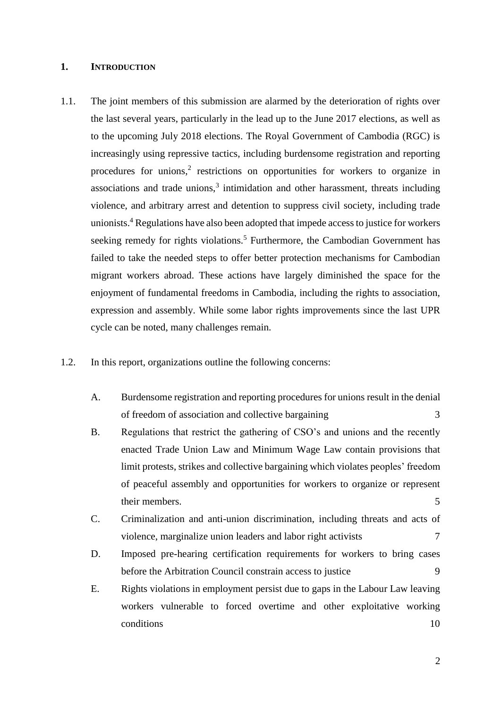#### **1. INTRODUCTION**

- 1.1. The joint members of this submission are alarmed by the deterioration of rights over the last several years, particularly in the lead up to the June 2017 elections, as well as to the upcoming July 2018 elections. The Royal Government of Cambodia (RGC) is increasingly using repressive tactics, including burdensome registration and reporting procedures for unions,<sup>2</sup> restrictions on opportunities for workers to organize in associations and trade unions, $3$  intimidation and other harassment, threats including violence, and arbitrary arrest and detention to suppress civil society, including trade unionists.<sup>4</sup> Regulations have also been adopted that impede access to justice for workers seeking remedy for rights violations.<sup>5</sup> Furthermore, the Cambodian Government has failed to take the needed steps to offer better protection mechanisms for Cambodian migrant workers abroad. These actions have largely diminished the space for the enjoyment of fundamental freedoms in Cambodia, including the rights to association, expression and assembly. While some labor rights improvements since the last UPR cycle can be noted, many challenges remain.
- 1.2. In this report, organizations outline the following concerns:
	- A. [Burdensome registration and reporting procedures for unions result in the denial](file:///C:/Users/patri/Downloads/07.10.2018%20UPR%20Submission%20Labor%20Rights%20.docx%23_Toc518942007)  [of freedom of association and collective bargaining](file:///C:/Users/patri/Downloads/07.10.2018%20UPR%20Submission%20Labor%20Rights%20.docx%23_Toc518942007) 3
	- B. [Regulations that restrict the gathering of CSO's and unions and the recently](file:///C:/Users/patri/Downloads/07.10.2018%20UPR%20Submission%20Labor%20Rights%20.docx%23_Toc518942008)  [enacted Trade Union Law and Minimum Wage Law contain provisions that](file:///C:/Users/patri/Downloads/07.10.2018%20UPR%20Submission%20Labor%20Rights%20.docx%23_Toc518942008)  [limit protests, strikes and collective bargaining which violates peoples' freedom](file:///C:/Users/patri/Downloads/07.10.2018%20UPR%20Submission%20Labor%20Rights%20.docx%23_Toc518942008)  [of peaceful assembly and opportunities for workers to organize or represent](file:///C:/Users/patri/Downloads/07.10.2018%20UPR%20Submission%20Labor%20Rights%20.docx%23_Toc518942008)  [their members.](file:///C:/Users/patri/Downloads/07.10.2018%20UPR%20Submission%20Labor%20Rights%20.docx%23_Toc518942008) 5
	- C. [Criminalization and anti-union discrimination, including threats and acts of](file:///C:/Users/patri/Downloads/07.10.2018%20UPR%20Submission%20Labor%20Rights%20.docx%23_Toc518942009)  [violence, marginalize union leaders and labor right activists](file:///C:/Users/patri/Downloads/07.10.2018%20UPR%20Submission%20Labor%20Rights%20.docx%23_Toc518942009)  $7 \frac{1}{2}$
	- D. [Imposed pre-hearing certification requirements for workers to](file:///C:/Users/patri/Downloads/07.10.2018%20UPR%20Submission%20Labor%20Rights%20.docx%23_Toc518942010) bring cases [before the Arbitration Council constrain access to justice](file:///C:/Users/patri/Downloads/07.10.2018%20UPR%20Submission%20Labor%20Rights%20.docx%23_Toc518942010) 9
	- E. [Rights violations in employment persist due to gaps in the Labour Law leaving](file:///C:/Users/patri/Downloads/07.10.2018%20UPR%20Submission%20Labor%20Rights%20.docx%23_Toc518942011)  [workers vulnerable to forced overtime and other exploitative working](file:///C:/Users/patri/Downloads/07.10.2018%20UPR%20Submission%20Labor%20Rights%20.docx%23_Toc518942011)  [conditions](file:///C:/Users/patri/Downloads/07.10.2018%20UPR%20Submission%20Labor%20Rights%20.docx%23_Toc518942011) 10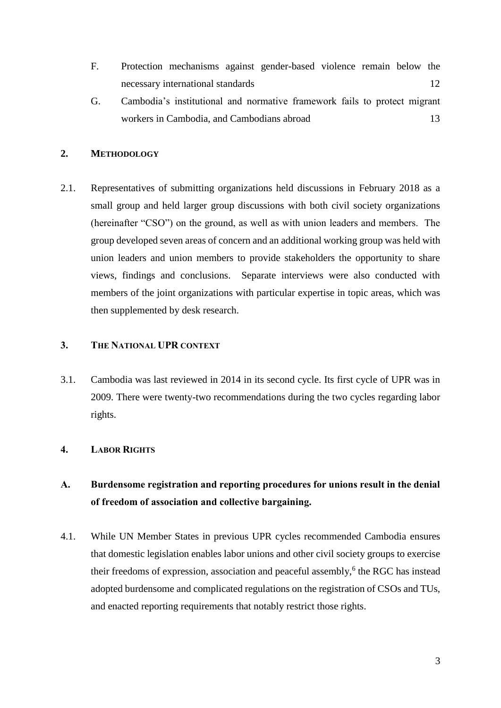- F. [Protection mechanisms against gender-based violence remain below the](file:///C:/Users/patri/Downloads/07.10.2018%20UPR%20Submission%20Labor%20Rights%20.docx%23_Toc518942012)  [necessary international standards](file:///C:/Users/patri/Downloads/07.10.2018%20UPR%20Submission%20Labor%20Rights%20.docx%23_Toc518942012) 12
- G. [Cambodia's institutional and normative framework fails to protect migrant](file:///C:/Users/patri/Downloads/07.10.2018%20UPR%20Submission%20Labor%20Rights%20.docx%23_Toc518942013)  [workers in Cambodia, and Cambodians abroad](file:///C:/Users/patri/Downloads/07.10.2018%20UPR%20Submission%20Labor%20Rights%20.docx%23_Toc518942013) 13

#### **2. METHODOLOGY**

2.1. Representatives of submitting organizations held discussions in February 2018 as a small group and held larger group discussions with both civil society organizations (hereinafter "CSO") on the ground, as well as with union leaders and members. The group developed seven areas of concern and an additional working group was held with union leaders and union members to provide stakeholders the opportunity to share views, findings and conclusions. Separate interviews were also conducted with members of the joint organizations with particular expertise in topic areas, which was then supplemented by desk research.

### **3. THE NATIONAL UPR CONTEXT**

3.1. Cambodia was last reviewed in 2014 in its second cycle. Its first cycle of UPR was in 2009. There were twenty-two recommendations during the two cycles regarding labor rights.

#### **4. LABOR RIGHTS**

### **A. Burdensome registration and reporting procedures for unions result in the denial of freedom of association and collective bargaining.**

4.1. While UN Member States in previous UPR cycles recommended Cambodia ensures that domestic legislation enables labor unions and other civil society groups to exercise their freedoms of expression, association and peaceful assembly,<sup>6</sup> the RGC has instead adopted burdensome and complicated regulations on the registration of CSOs and TUs, and enacted reporting requirements that notably restrict those rights.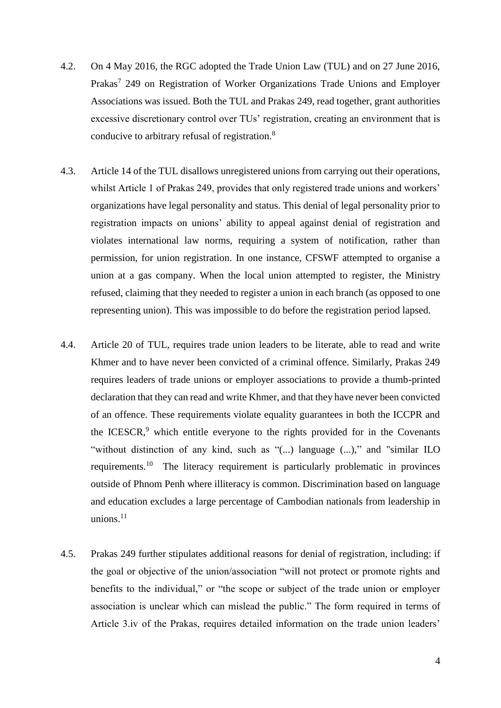- 4.2. On 4 May 2016, the RGC adopted the Trade Union Law (TUL) and on 27 June 2016, Prakas<sup>7</sup> 249 on Registration of Worker Organizations Trade Unions and Employer Associations was issued. Both the TUL and Prakas 249, read together, grant authorities excessive discretionary control over TUs' registration, creating an environment that is conducive to arbitrary refusal of registration.<sup>8</sup>
- 4.3. Article 14 of the TUL disallows unregistered unions from carrying out their operations, whilst Article 1 of Prakas 249, provides that only registered trade unions and workers' organizations have legal personality and status. This denial of legal personality prior to registration impacts on unions' ability to appeal against denial of registration and violates international law norms, requiring a system of notification, rather than permission, for union registration. In one instance, CFSWF attempted to organise a union at a gas company. When the local union attempted to register, the Ministry refused, claiming that they needed to register a union in each branch (as opposed to one representing union). This was impossible to do before the registration period lapsed.
- 4.4. Article 20 of TUL, requires trade union leaders to be literate, able to read and write Khmer and to have never been convicted of a criminal offence. Similarly, Prakas 249 requires leaders of trade unions or employer associations to provide a thumb-printed declaration that they can read and write Khmer, and that they have never been convicted of an offence. These requirements violate equality guarantees in both the ICCPR and the ICESCR, $9$  which entitle everyone to the rights provided for in the Covenants "without distinction of any kind, such as "(...) language (...)," and "similar ILO requirements.<sup>10</sup> The literacy requirement is particularly problematic in provinces outside of Phnom Penh where illiteracy is common. Discrimination based on language and education excludes a large percentage of Cambodian nationals from leadership in unions. $11$
- 4.5. Prakas 249 further stipulates additional reasons for denial of registration, including: if the goal or objective of the union/association "will not protect or promote rights and benefits to the individual," or "the scope or subject of the trade union or employer association is unclear which can mislead the public." The form required in terms of Article 3.iv of the Prakas, requires detailed information on the trade union leaders'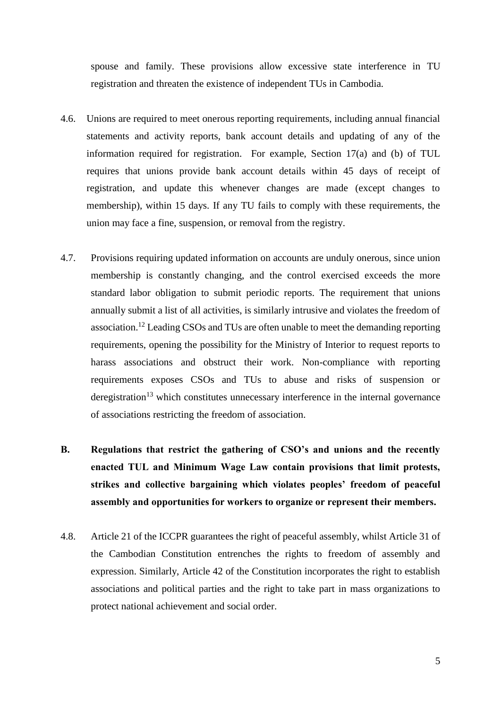spouse and family. These provisions allow excessive state interference in TU registration and threaten the existence of independent TUs in Cambodia.

- 4.6. Unions are required to meet onerous reporting requirements, including annual financial statements and activity reports, bank account details and updating of any of the information required for registration. For example, Section 17(a) and (b) of TUL requires that unions provide bank account details within 45 days of receipt of registration, and update this whenever changes are made (except changes to membership), within 15 days. If any TU fails to comply with these requirements, the union may face a fine, suspension, or removal from the registry.
- 4.7. Provisions requiring updated information on accounts are unduly onerous, since union membership is constantly changing, and the control exercised exceeds the more standard labor obligation to submit periodic reports. The requirement that unions annually submit a list of all activities, is similarly intrusive and violates the freedom of association.<sup>12</sup> Leading CSOs and TUs are often unable to meet the demanding reporting requirements, opening the possibility for the Ministry of Interior to request reports to harass associations and obstruct their work. Non-compliance with reporting requirements exposes CSOs and TUs to abuse and risks of suspension or deregistration<sup>13</sup> which constitutes unnecessary interference in the internal governance of associations restricting the freedom of association.
- **B. Regulations that restrict the gathering of CSO's and unions and the recently enacted TUL and Minimum Wage Law contain provisions that limit protests, strikes and collective bargaining which violates peoples' freedom of peaceful assembly and opportunities for workers to organize or represent their members.**
- 4.8. Article 21 of the ICCPR guarantees the right of peaceful assembly, whilst Article 31 of the Cambodian Constitution entrenches the rights to freedom of assembly and expression. Similarly, Article 42 of the Constitution incorporates the right to establish associations and political parties and the right to take part in mass organizations to protect national achievement and social order.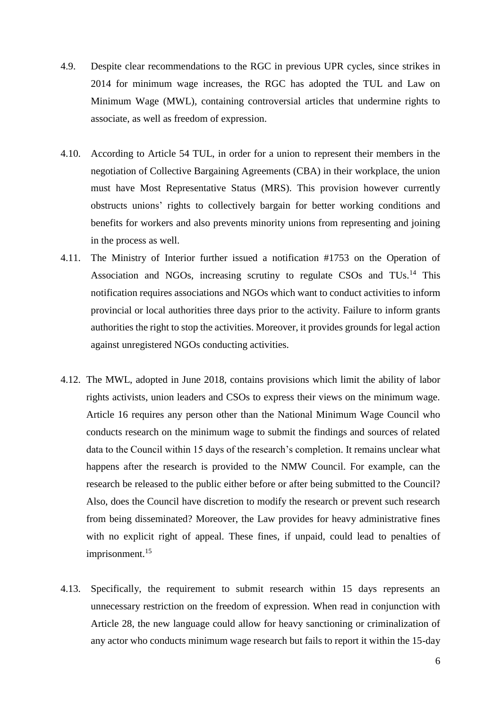- 4.9. Despite clear recommendations to the RGC in previous UPR cycles, since strikes in 2014 for minimum wage increases, the RGC has adopted the TUL and Law on Minimum Wage (MWL), containing controversial articles that undermine rights to associate, as well as freedom of expression.
- 4.10. According to Article 54 TUL, in order for a union to represent their members in the negotiation of Collective Bargaining Agreements (CBA) in their workplace, the union must have Most Representative Status (MRS). This provision however currently obstructs unions' rights to collectively bargain for better working conditions and benefits for workers and also prevents minority unions from representing and joining in the process as well.
- 4.11. The Ministry of Interior further issued a notification #1753 on the Operation of Association and NGOs, increasing scrutiny to regulate CSOs and TUs.<sup>14</sup> This notification requires associations and NGOs which want to conduct activities to inform provincial or local authorities three days prior to the activity. Failure to inform grants authorities the right to stop the activities. Moreover, it provides grounds for legal action against unregistered NGOs conducting activities.
- 4.12. The MWL, adopted in June 2018, contains provisions which limit the ability of labor rights activists, union leaders and CSOs to express their views on the minimum wage. Article 16 requires any person other than the National Minimum Wage Council who conducts research on the minimum wage to submit the findings and sources of related data to the Council within 15 days of the research's completion. It remains unclear what happens after the research is provided to the NMW Council. For example, can the research be released to the public either before or after being submitted to the Council? Also, does the Council have discretion to modify the research or prevent such research from being disseminated? Moreover, the Law provides for heavy administrative fines with no explicit right of appeal. These fines, if unpaid, could lead to penalties of imprisonment.<sup>15</sup>
- 4.13. Specifically, the requirement to submit research within 15 days represents an unnecessary restriction on the freedom of expression. When read in conjunction with Article 28, the new language could allow for heavy sanctioning or criminalization of any actor who conducts minimum wage research but fails to report it within the 15-day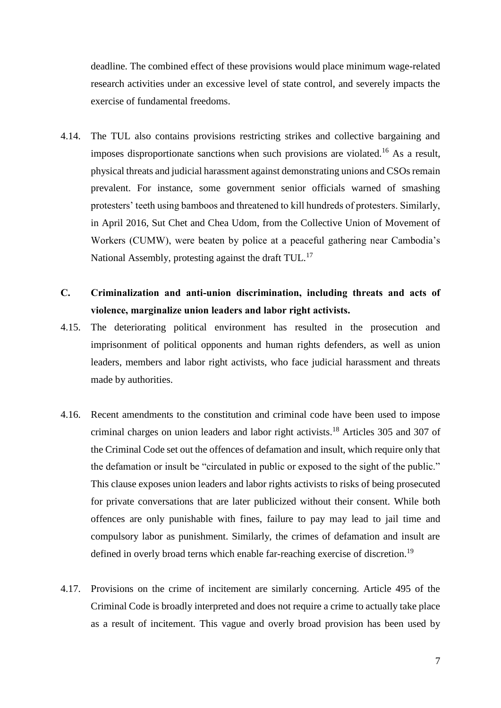deadline. The combined effect of these provisions would place minimum wage-related research activities under an excessive level of state control, and severely impacts the exercise of fundamental freedoms.

- 4.14. The TUL also contains provisions restricting strikes and collective bargaining and imposes disproportionate sanctions when such provisions are violated.<sup>16</sup> As a result, physical threats and judicial harassment against demonstrating unions and CSOs remain prevalent. For instance, some government senior officials warned of smashing protesters' teeth using bamboos and threatened to kill hundreds of protesters. Similarly, in April 2016, Sut Chet and Chea Udom, from the Collective Union of Movement of Workers (CUMW), were beaten by police at a peaceful gathering near Cambodia's National Assembly, protesting against the draft TUL.<sup>17</sup>
- **C. Criminalization and anti-union discrimination, including threats and acts of violence, marginalize union leaders and labor right activists.**
- 4.15. The deteriorating political environment has resulted in the prosecution and imprisonment of political opponents and human rights defenders, as well as union leaders, members and labor right activists, who face judicial harassment and threats made by authorities.
- 4.16. Recent amendments to the constitution and criminal code have been used to impose criminal charges on union leaders and labor right activists.<sup>18</sup> Articles 305 and 307 of the Criminal Code set out the offences of defamation and insult, which require only that the defamation or insult be "circulated in public or exposed to the sight of the public." This clause exposes union leaders and labor rights activists to risks of being prosecuted for private conversations that are later publicized without their consent. While both offences are only punishable with fines, failure to pay may lead to jail time and compulsory labor as punishment. Similarly, the crimes of defamation and insult are defined in overly broad terns which enable far-reaching exercise of discretion.<sup>19</sup>
- 4.17. Provisions on the crime of incitement are similarly concerning. Article 495 of the Criminal Code is broadly interpreted and does not require a crime to actually take place as a result of incitement. This vague and overly broad provision has been used by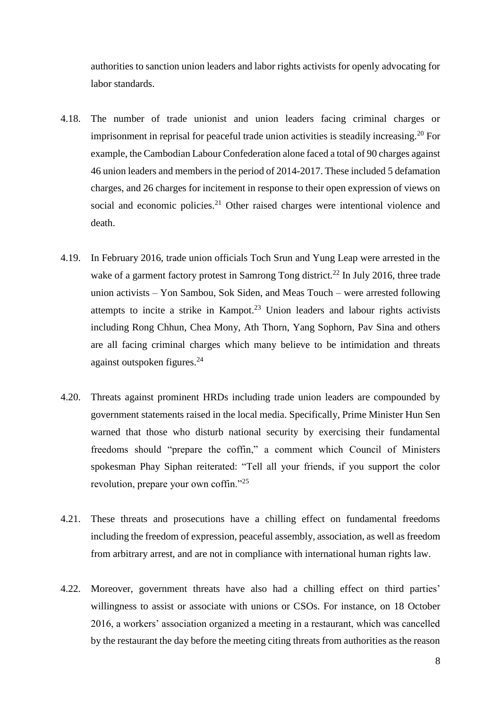authorities to sanction union leaders and labor rights activists for openly advocating for labor standards.

- 4.18. The number of trade unionist and union leaders facing criminal charges or imprisonment in reprisal for peaceful trade union activities is steadily increasing.<sup>20</sup> For example, the Cambodian Labour Confederation alone faced a total of 90 charges against 46 union leaders and members in the period of 2014-2017. These included 5 defamation charges, and 26 charges for incitement in response to their open expression of views on social and economic policies.<sup>21</sup> Other raised charges were intentional violence and death.
- 4.19. In February 2016, trade union officials Toch Srun and Yung Leap were arrested in the wake of a garment factory protest in Samrong Tong district.<sup>22</sup> In July 2016, three trade union activists – Yon Sambou, Sok Siden, and Meas Touch – were arrested following attempts to incite a strike in Kampot.<sup>23</sup> Union leaders and labour rights activists including Rong Chhun, Chea Mony, Ath Thorn, Yang Sophorn, Pav Sina and others are all facing criminal charges which many believe to be intimidation and threats against outspoken figures.<sup>24</sup>
- 4.20. Threats against prominent HRDs including trade union leaders are compounded by government statements raised in the local media. Specifically, Prime Minister Hun Sen warned that those who disturb national security by exercising their fundamental freedoms should "prepare the coffin," a comment which Council of Ministers spokesman Phay Siphan reiterated: "Tell all your friends, if you support the color revolution, prepare your own coffin."<sup>25</sup>
- 4.21. These threats and prosecutions have a chilling effect on fundamental freedoms including the freedom of expression, peaceful assembly, association, as well as freedom from arbitrary arrest, and are not in compliance with international human rights law.
- 4.22. Moreover, government threats have also had a chilling effect on third parties' willingness to assist or associate with unions or CSOs. For instance, on 18 October 2016, a workers' association organized a meeting in a restaurant, which was cancelled by the restaurant the day before the meeting citing threats from authorities as the reason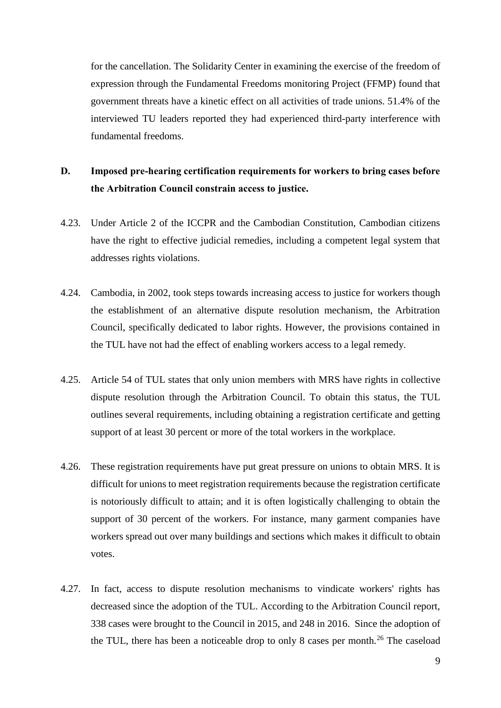for the cancellation. The Solidarity Center in examining the exercise of the freedom of expression through the Fundamental Freedoms monitoring Project (FFMP) found that government threats have a kinetic effect on all activities of trade unions. 51.4% of the interviewed TU leaders reported they had experienced third-party interference with fundamental freedoms.

### **D. Imposed pre-hearing certification requirements for workers to bring cases before the Arbitration Council constrain access to justice.**

- 4.23. Under Article 2 of the ICCPR and the Cambodian Constitution, Cambodian citizens have the right to effective judicial remedies, including a competent legal system that addresses rights violations.
- 4.24. Cambodia, in 2002, took steps towards increasing access to justice for workers though the establishment of an alternative dispute resolution mechanism, the Arbitration Council, specifically dedicated to labor rights. However, the provisions contained in the TUL have not had the effect of enabling workers access to a legal remedy.
- 4.25. Article 54 of TUL states that only union members with MRS have rights in collective dispute resolution through the Arbitration Council. To obtain this status, the TUL outlines several requirements, including obtaining a registration certificate and getting support of at least 30 percent or more of the total workers in the workplace.
- 4.26. These registration requirements have put great pressure on unions to obtain MRS. It is difficult for unions to meet registration requirements because the registration certificate is notoriously difficult to attain; and it is often logistically challenging to obtain the support of 30 percent of the workers. For instance, many garment companies have workers spread out over many buildings and sections which makes it difficult to obtain votes.
- 4.27. In fact, access to dispute resolution mechanisms to vindicate workers' rights has decreased since the adoption of the TUL. According to the Arbitration Council report, 338 cases were brought to the Council in 2015, and 248 in 2016. Since the adoption of the TUL, there has been a noticeable drop to only 8 cases per month.<sup>26</sup> The caseload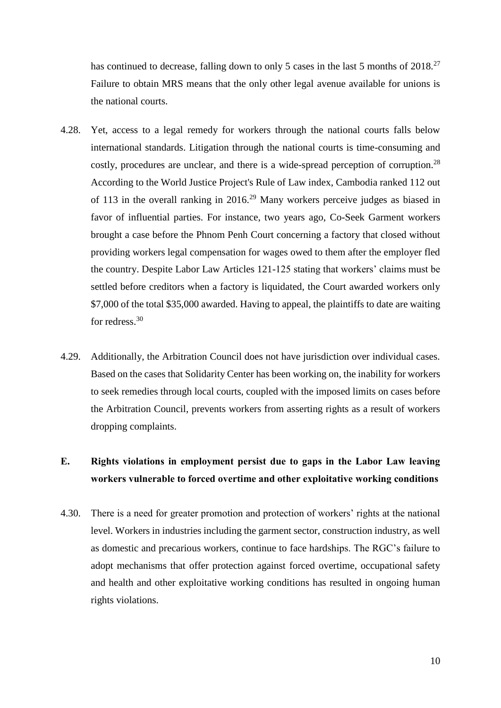has continued to decrease, falling down to only 5 cases in the last 5 months of 2018.<sup>27</sup> Failure to obtain MRS means that the only other legal avenue available for unions is the national courts.

- 4.28. Yet, access to a legal remedy for workers through the national courts falls below international standards. Litigation through the national courts is time-consuming and costly, procedures are unclear, and there is a wide-spread perception of corruption.<sup>28</sup> According to the World Justice Project's Rule of Law index, Cambodia ranked 112 out of 113 in the overall ranking in 2016.<sup>29</sup> Many workers perceive judges as biased in favor of influential parties. For instance, two years ago, Co-Seek Garment workers brought a case before the Phnom Penh Court concerning a factory that closed without providing workers legal compensation for wages owed to them after the employer fled the country. Despite Labor Law Articles 121-125 stating that workers' claims must be settled before creditors when a factory is liquidated, the Court awarded workers only \$7,000 of the total \$35,000 awarded. Having to appeal, the plaintiffs to date are waiting for redress.<sup>30</sup>
- 4.29. Additionally, the Arbitration Council does not have jurisdiction over individual cases. Based on the cases that Solidarity Center has been working on, the inability for workers to seek remedies through local courts, coupled with the imposed limits on cases before the Arbitration Council, prevents workers from asserting rights as a result of workers dropping complaints.

### **E. Rights violations in employment persist due to gaps in the Labor Law leaving workers vulnerable to forced overtime and other exploitative working conditions**

4.30. There is a need for greater promotion and protection of workers' rights at the national level. Workers in industries including the garment sector, construction industry, as well as domestic and precarious workers, continue to face hardships. The RGC's failure to adopt mechanisms that offer protection against forced overtime, occupational safety and health and other exploitative working conditions has resulted in ongoing human rights violations.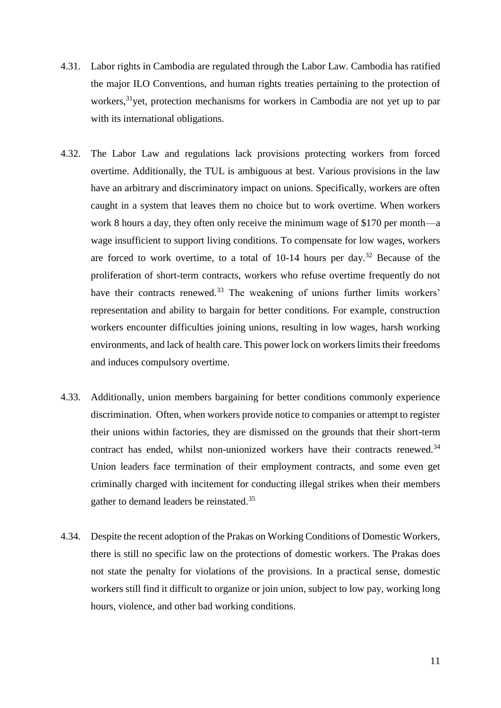- 4.31. Labor rights in Cambodia are regulated through the Labor Law. Cambodia has ratified the major ILO Conventions, and human rights treaties pertaining to the protection of workers,<sup>31</sup>yet, protection mechanisms for workers in Cambodia are not yet up to par with its international obligations.
- 4.32. The Labor Law and regulations lack provisions protecting workers from forced overtime. Additionally, the TUL is ambiguous at best. Various provisions in the law have an arbitrary and discriminatory impact on unions. Specifically, workers are often caught in a system that leaves them no choice but to work overtime. When workers work 8 hours a day, they often only receive the minimum wage of \$170 per month—a wage insufficient to support living conditions. To compensate for low wages, workers are forced to work overtime, to a total of  $10-14$  hours per day.<sup>32</sup> Because of the proliferation of short-term contracts, workers who refuse overtime frequently do not have their contracts renewed.<sup>33</sup> The weakening of unions further limits workers' representation and ability to bargain for better conditions. For example, construction workers encounter difficulties joining unions, resulting in low wages, harsh working environments, and lack of health care. This power lock on workers limits their freedoms and induces compulsory overtime.
- 4.33. Additionally, union members bargaining for better conditions commonly experience discrimination. Often, when workers provide notice to companies or attempt to register their unions within factories, they are dismissed on the grounds that their short-term contract has ended, whilst non-unionized workers have their contracts renewed.<sup>34</sup> Union leaders face termination of their employment contracts, and some even get criminally charged with incitement for conducting illegal strikes when their members gather to demand leaders be reinstated.<sup>35</sup>
- 4.34. Despite the recent adoption of the Prakas on Working Conditions of Domestic Workers, there is still no specific law on the protections of domestic workers. The Prakas does not state the penalty for violations of the provisions. In a practical sense, domestic workers still find it difficult to organize or join union, subject to low pay, working long hours, violence, and other bad working conditions.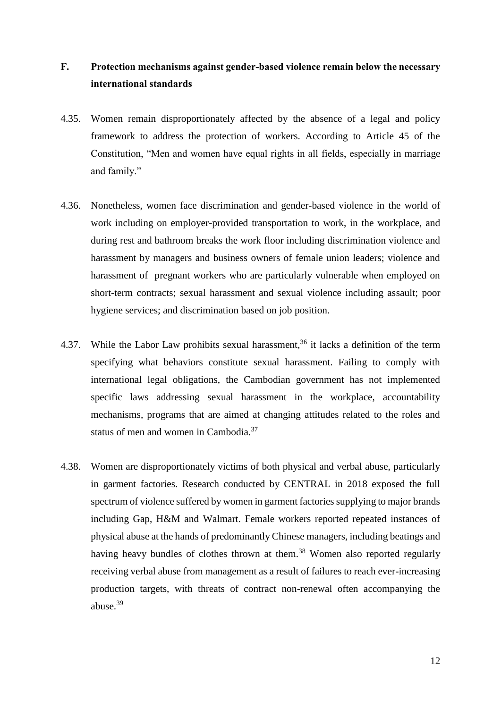### **F. Protection mechanisms against gender-based violence remain below the necessary international standards**

- 4.35. Women remain disproportionately affected by the absence of a legal and policy framework to address the protection of workers. According to Article 45 of the Constitution, "Men and women have equal rights in all fields, especially in marriage and family."
- 4.36. Nonetheless, women face discrimination and gender-based violence in the world of work including on employer-provided transportation to work, in the workplace, and during rest and bathroom breaks the work floor including discrimination violence and harassment by managers and business owners of female union leaders; violence and harassment of pregnant workers who are particularly vulnerable when employed on short-term contracts; sexual harassment and sexual violence including assault; poor hygiene services; and discrimination based on job position.
- 4.37. While the Labor Law prohibits sexual harassment,<sup>36</sup> it lacks a definition of the term specifying what behaviors constitute sexual harassment. Failing to comply with international legal obligations, the Cambodian government has not implemented specific laws addressing sexual harassment in the workplace, accountability mechanisms, programs that are aimed at changing attitudes related to the roles and status of men and women in Cambodia.<sup>37</sup>
- 4.38. Women are disproportionately victims of both physical and verbal abuse, particularly in garment factories. Research conducted by CENTRAL in 2018 exposed the full spectrum of violence suffered by women in garment factories supplying to major brands including Gap, H&M and Walmart. Female workers reported repeated instances of physical abuse at the hands of predominantly Chinese managers, including beatings and having heavy bundles of clothes thrown at them.<sup>38</sup> Women also reported regularly receiving verbal abuse from management as a result of failures to reach ever-increasing production targets, with threats of contract non-renewal often accompanying the abuse.<sup>39</sup>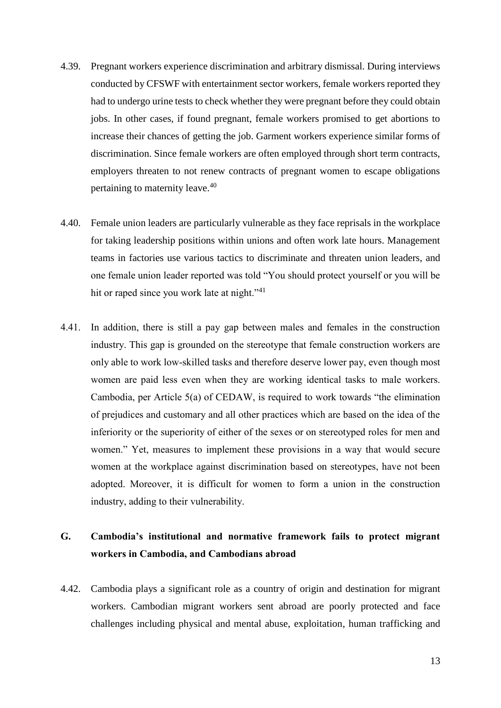- 4.39. Pregnant workers experience discrimination and arbitrary dismissal. During interviews conducted by CFSWF with entertainment sector workers, female workers reported they had to undergo urine tests to check whether they were pregnant before they could obtain jobs. In other cases, if found pregnant, female workers promised to get abortions to increase their chances of getting the job. Garment workers experience similar forms of discrimination. Since female workers are often employed through short term contracts, employers threaten to not renew contracts of pregnant women to escape obligations pertaining to maternity leave.<sup>40</sup>
- 4.40. Female union leaders are particularly vulnerable as they face reprisals in the workplace for taking leadership positions within unions and often work late hours. Management teams in factories use various tactics to discriminate and threaten union leaders, and one female union leader reported was told "You should protect yourself or you will be hit or raped since you work late at night."<sup>41</sup>
- 4.41. In addition, there is still a pay gap between males and females in the construction industry. This gap is grounded on the stereotype that female construction workers are only able to work low-skilled tasks and therefore deserve lower pay, even though most women are paid less even when they are working identical tasks to male workers. Cambodia, per Article 5(a) of CEDAW, is required to work towards "the elimination of prejudices and customary and all other practices which are based on the idea of the inferiority or the superiority of either of the sexes or on stereotyped roles for men and women." Yet, measures to implement these provisions in a way that would secure women at the workplace against discrimination based on stereotypes, have not been adopted. Moreover, it is difficult for women to form a union in the construction industry, adding to their vulnerability.

### **G. Cambodia's institutional and normative framework fails to protect migrant workers in Cambodia, and Cambodians abroad**

4.42. Cambodia plays a significant role as a country of origin and destination for migrant workers. Cambodian migrant workers sent abroad are poorly protected and face challenges including physical and mental abuse, exploitation, human trafficking and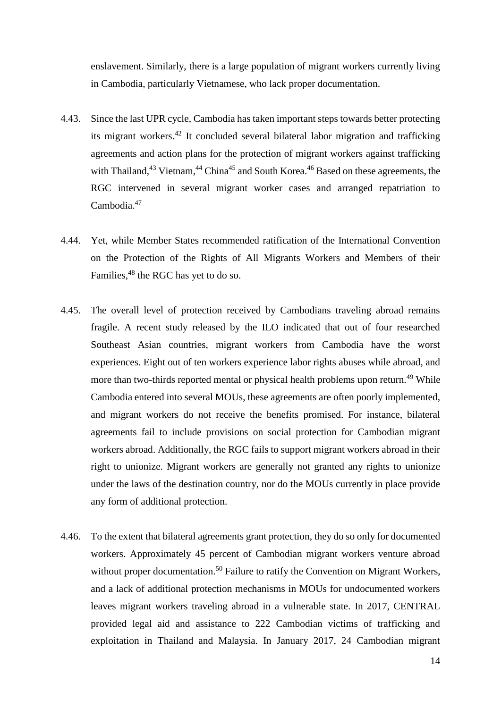enslavement. Similarly, there is a large population of migrant workers currently living in Cambodia, particularly Vietnamese, who lack proper documentation.

- 4.43. Since the last UPR cycle, Cambodia has taken important steps towards better protecting its migrant workers.<sup>42</sup> It concluded several bilateral labor migration and trafficking agreements and action plans for the protection of migrant workers against trafficking with Thailand,  $43$  Vietnam,  $44$  China  $45$  and South Korea.  $46$  Based on these agreements, the RGC intervened in several migrant worker cases and arranged repatriation to Cambodia.<sup>47</sup>
- 4.44. Yet, while Member States recommended ratification of the International Convention on the Protection of the Rights of All Migrants Workers and Members of their Families, <sup>48</sup> the RGC has yet to do so.
- 4.45. The overall level of protection received by Cambodians traveling abroad remains fragile. A recent study released by the ILO indicated that out of four researched Southeast Asian countries, migrant workers from Cambodia have the worst experiences. Eight out of ten workers experience labor rights abuses while abroad, and more than two-thirds reported mental or physical health problems upon return.<sup>49</sup> While Cambodia entered into several MOUs, these agreements are often poorly implemented, and migrant workers do not receive the benefits promised. For instance, bilateral agreements fail to include provisions on social protection for Cambodian migrant workers abroad. Additionally, the RGC fails to support migrant workers abroad in their right to unionize. Migrant workers are generally not granted any rights to unionize under the laws of the destination country, nor do the MOUs currently in place provide any form of additional protection.
- 4.46. To the extent that bilateral agreements grant protection, they do so only for documented workers. Approximately 45 percent of Cambodian migrant workers venture abroad without proper documentation.<sup>50</sup> Failure to ratify the Convention on Migrant Workers, and a lack of additional protection mechanisms in MOUs for undocumented workers leaves migrant workers traveling abroad in a vulnerable state. In 2017, CENTRAL provided legal aid and assistance to 222 Cambodian victims of trafficking and exploitation in Thailand and Malaysia. In January 2017, 24 Cambodian migrant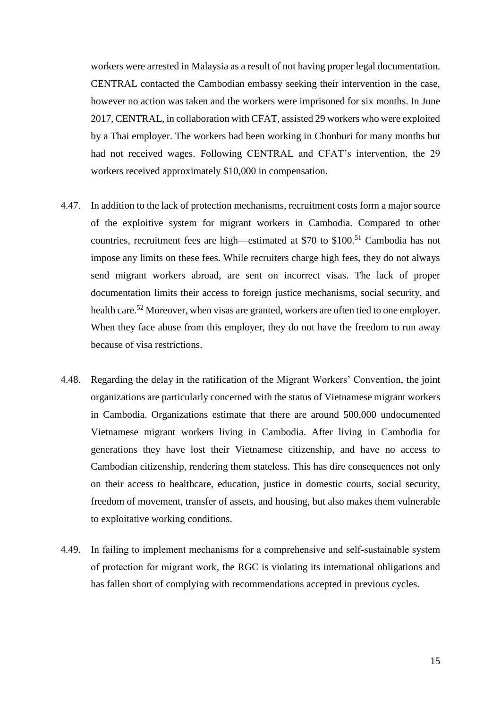workers were arrested in Malaysia as a result of not having proper legal documentation. CENTRAL contacted the Cambodian embassy seeking their intervention in the case, however no action was taken and the workers were imprisoned for six months. In June 2017, CENTRAL, in collaboration with CFAT, assisted 29 workers who were exploited by a Thai employer. The workers had been working in Chonburi for many months but had not received wages. Following CENTRAL and CFAT's intervention, the 29 workers received approximately \$10,000 in compensation.

- 4.47. In addition to the lack of protection mechanisms, recruitment costs form a major source of the exploitive system for migrant workers in Cambodia. Compared to other countries, recruitment fees are high—estimated at \$70 to \$100.<sup>51</sup> Cambodia has not impose any limits on these fees. While recruiters charge high fees, they do not always send migrant workers abroad, are sent on incorrect visas. The lack of proper documentation limits their access to foreign justice mechanisms, social security, and health care.<sup>52</sup> Moreover, when visas are granted, workers are often tied to one employer. When they face abuse from this employer, they do not have the freedom to run away because of visa restrictions.
- 4.48. Regarding the delay in the ratification of the Migrant Workers' Convention, the joint organizations are particularly concerned with the status of Vietnamese migrant workers in Cambodia. Organizations estimate that there are around 500,000 undocumented Vietnamese migrant workers living in Cambodia. After living in Cambodia for generations they have lost their Vietnamese citizenship, and have no access to Cambodian citizenship, rendering them stateless. This has dire consequences not only on their access to healthcare, education, justice in domestic courts, social security, freedom of movement, transfer of assets, and housing, but also makes them vulnerable to exploitative working conditions.
- 4.49. In failing to implement mechanisms for a comprehensive and self-sustainable system of protection for migrant work, the RGC is violating its international obligations and has fallen short of complying with recommendations accepted in previous cycles.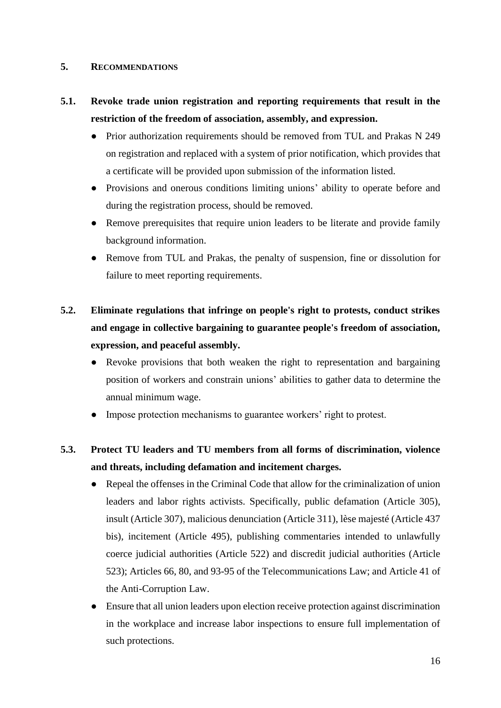#### **5. RECOMMENDATIONS**

## **5.1. Revoke trade union registration and reporting requirements that result in the restriction of the freedom of association, assembly, and expression.**

- Prior authorization requirements should be removed from TUL and Prakas N 249 on registration and replaced with a system of prior notification, which provides that a certificate will be provided upon submission of the information listed.
- Provisions and onerous conditions limiting unions' ability to operate before and during the registration process, should be removed.
- Remove prerequisites that require union leaders to be literate and provide family background information.
- Remove from TUL and Prakas, the penalty of suspension, fine or dissolution for failure to meet reporting requirements.

## **5.2. Eliminate regulations that infringe on people's right to protests, conduct strikes and engage in collective bargaining to guarantee people's freedom of association, expression, and peaceful assembly.**

- Revoke provisions that both weaken the right to representation and bargaining position of workers and constrain unions' abilities to gather data to determine the annual minimum wage.
- Impose protection mechanisms to guarantee workers' right to protest.

### **5.3. Protect TU leaders and TU members from all forms of discrimination, violence and threats, including defamation and incitement charges.**

- Repeal the offenses in the Criminal Code that allow for the criminalization of union leaders and labor rights activists. Specifically, public defamation (Article 305), insult (Article 307), malicious denunciation (Article 311), lèse majesté (Article 437 bis), incitement (Article 495), publishing commentaries intended to unlawfully coerce judicial authorities (Article 522) and discredit judicial authorities (Article 523); Articles 66, 80, and 93-95 of the Telecommunications Law; and Article 41 of the Anti-Corruption Law.
- Ensure that all union leaders upon election receive protection against discrimination in the workplace and increase labor inspections to ensure full implementation of such protections.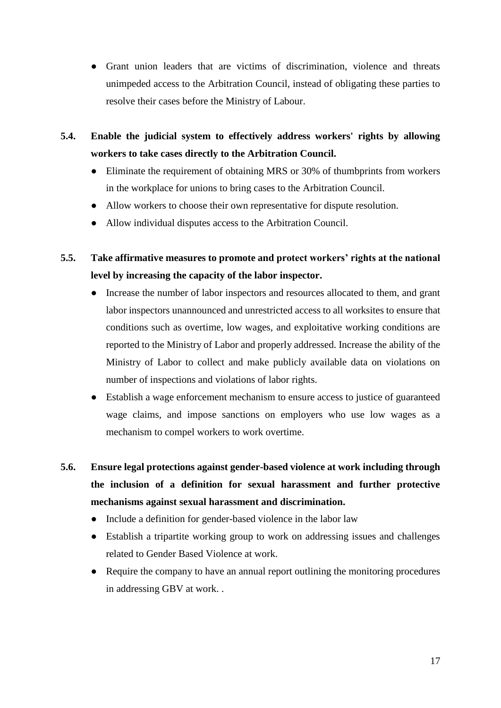- Grant union leaders that are victims of discrimination, violence and threats unimpeded access to the Arbitration Council, instead of obligating these parties to resolve their cases before the Ministry of Labour.
- **5.4. Enable the judicial system to effectively address workers' rights by allowing workers to take cases directly to the Arbitration Council.**
	- Eliminate the requirement of obtaining MRS or 30% of thumbprints from workers in the workplace for unions to bring cases to the Arbitration Council.
	- Allow workers to choose their own representative for dispute resolution.
	- Allow individual disputes access to the Arbitration Council.
- **5.5. Take affirmative measures to promote and protect workers' rights at the national level by increasing the capacity of the labor inspector.**
	- Increase the number of labor inspectors and resources allocated to them, and grant labor inspectors unannounced and unrestricted access to all worksites to ensure that conditions such as overtime, low wages, and exploitative working conditions are reported to the Ministry of Labor and properly addressed. Increase the ability of the Ministry of Labor to collect and make publicly available data on violations on number of inspections and violations of labor rights.
	- Establish a wage enforcement mechanism to ensure access to justice of guaranteed wage claims, and impose sanctions on employers who use low wages as a mechanism to compel workers to work overtime.
- **5.6. Ensure legal protections against gender-based violence at work including through the inclusion of a definition for sexual harassment and further protective mechanisms against sexual harassment and discrimination.**
	- Include a definition for gender-based violence in the labor law
	- Establish a tripartite working group to work on addressing issues and challenges related to Gender Based Violence at work.
	- Require the company to have an annual report outlining the monitoring procedures in addressing GBV at work. .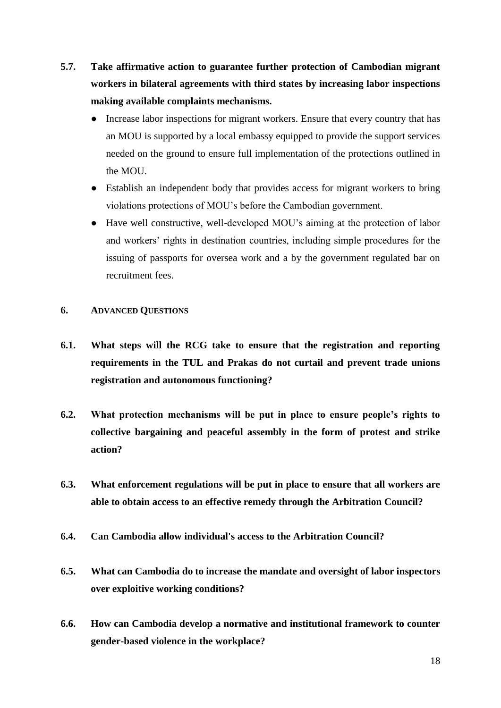- **5.7. Take affirmative action to guarantee further protection of Cambodian migrant workers in bilateral agreements with third states by increasing labor inspections making available complaints mechanisms.**
	- Increase labor inspections for migrant workers. Ensure that every country that has an MOU is supported by a local embassy equipped to provide the support services needed on the ground to ensure full implementation of the protections outlined in the MOU.
	- Establish an independent body that provides access for migrant workers to bring violations protections of MOU's before the Cambodian government.
	- Have well constructive, well-developed MOU's aiming at the protection of labor and workers' rights in destination countries, including simple procedures for the issuing of passports for oversea work and a by the government regulated bar on recruitment fees.

### **6. ADVANCED QUESTIONS**

- **6.1. What steps will the RCG take to ensure that the registration and reporting requirements in the TUL and Prakas do not curtail and prevent trade unions registration and autonomous functioning?**
- **6.2. What protection mechanisms will be put in place to ensure people's rights to collective bargaining and peaceful assembly in the form of protest and strike action?**
- **6.3. What enforcement regulations will be put in place to ensure that all workers are able to obtain access to an effective remedy through the Arbitration Council?**
- **6.4. Can Cambodia allow individual's access to the Arbitration Council?**
- **6.5. What can Cambodia do to increase the mandate and oversight of labor inspectors over exploitive working conditions?**
- **6.6. How can Cambodia develop a normative and institutional framework to counter gender-based violence in the workplace?**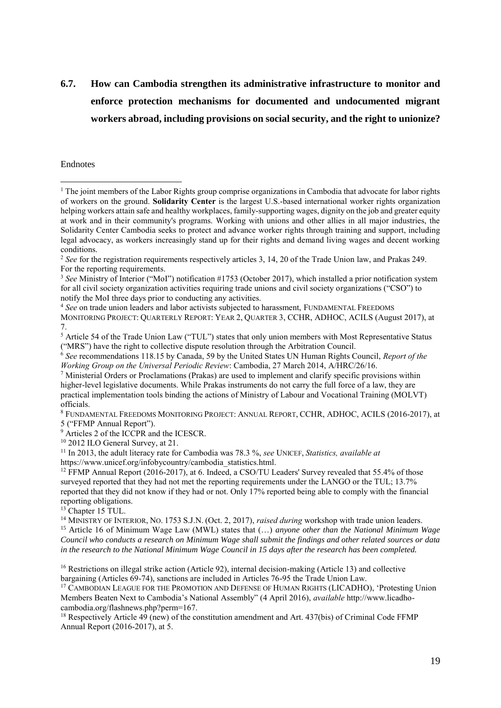## **6.7. How can Cambodia strengthen its administrative infrastructure to monitor and enforce protection mechanisms for documented and undocumented migrant workers abroad, including provisions on social security, and the right to unionize?**

#### Endnotes

<u>.</u>

<sup>4</sup> *See* on trade union leaders and labor activists subjected to harassment, FUNDAMENTAL FREEDOMS MONITORING PROJECT: QUARTERLY REPORT: YEAR 2, QUARTER 3, CCHR, ADHOC, ACILS (August 2017), at 7.

<sup>8</sup> FUNDAMENTAL FREEDOMS MONITORING PROJECT: ANNUAL REPORT, CCHR, ADHOC, ACILS (2016-2017), at 5 ("FFMP Annual Report").

<sup>9</sup> Articles 2 of the ICCPR and the ICESCR.

<sup>13</sup> Chapter 15 TUL.

<sup>14</sup> MINISTRY OF INTERIOR, NO. 1753 S.J.N. (Oct. 2, 2017), *raised during* workshop with trade union leaders. <sup>15</sup> Article 16 of Minimum Wage Law (MWL) states that (…) *anyone other than the National Minimum Wage Council who conducts a research on Minimum Wage shall submit the findings and other related sources or data in the research to the National Minimum Wage Council in 15 days after the research has been completed.*

<sup>&</sup>lt;sup>1</sup> The joint members of the Labor Rights group comprise organizations in Cambodia that advocate for labor rights of workers on the ground. **Solidarity Center** is the largest U.S.-based international worker rights organization helping workers attain safe and healthy workplaces, family-supporting wages, dignity on the job and greater equity at work and in their community's programs. Working with unions and other allies in all major industries, the Solidarity Center Cambodia seeks to protect and advance worker rights through training and support, including legal advocacy, as workers increasingly stand up for their rights and demand living wages and decent working conditions.

<sup>&</sup>lt;sup>2</sup> See for the registration requirements respectively articles 3, 14, 20 of the Trade Union law, and Prakas 249. For the reporting requirements.

<sup>3</sup> *See* Ministry of Interior ("MoI") notification #1753 (October 2017), which installed a prior notification system for all civil society organization activities requiring trade unions and civil society organizations ("CSO") to notify the MoI three days prior to conducting any activities.

<sup>5</sup> Article 54 of the Trade Union Law ("TUL") states that only union members with Most Representative Status ("MRS") have the right to collective dispute resolution through the Arbitration Council.

<sup>6</sup> *See* recommendations 118.15 by Canada, 59 by the United States UN Human Rights Council, *Report of the Working Group on the Universal Periodic Review*: Cambodia, 27 March 2014, A/HRC/26/16.

 $\frac{7}{2}$  Ministerial Orders or Proclamations (Prakas) are used to implement and clarify specific provisions within higher-level legislative documents. While Prakas instruments do not carry the full force of a law, they are practical implementation tools binding the actions of Ministry of Labour and Vocational Training (MOLVT) officials.

<sup>&</sup>lt;sup>10</sup> 2012 ILO General Survey, at 21.

<sup>11</sup> In 2013, the adult literacy rate for Cambodia was 78.3 %, *see* UNICEF, *Statistics, available at*  https://www.unicef.org/infobycountry/cambodia\_statistics.html.

<sup>&</sup>lt;sup>12</sup> FFMP Annual Report (2016-2017), at 6. Indeed, a CSO/TU Leaders' Survey revealed that 55.4% of those surveyed reported that they had not met the reporting requirements under the LANGO or the TUL; 13.7% reported that they did not know if they had or not. Only 17% reported being able to comply with the financial reporting obligations.

<sup>16</sup> Restrictions on illegal strike action (Article 92), internal decision-making (Article 13) and collective bargaining (Articles 69-74), sanctions are included in Articles 76-95 the Trade Union Law.

<sup>&</sup>lt;sup>17</sup> CAMBODIAN LEAGUE FOR THE PROMOTION AND DEFENSE OF HUMAN RIGHTS (LICADHO), 'Protesting Union Members Beaten Next to Cambodia's National Assembly" (4 April 2016), *available* http://www.licadhocambodia.org/flashnews.php?perm=167.

<sup>&</sup>lt;sup>18</sup> Respectively Article 49 (new) of the constitution amendment and Art. 437(bis) of Criminal Code FFMP Annual Report (2016-2017), at 5.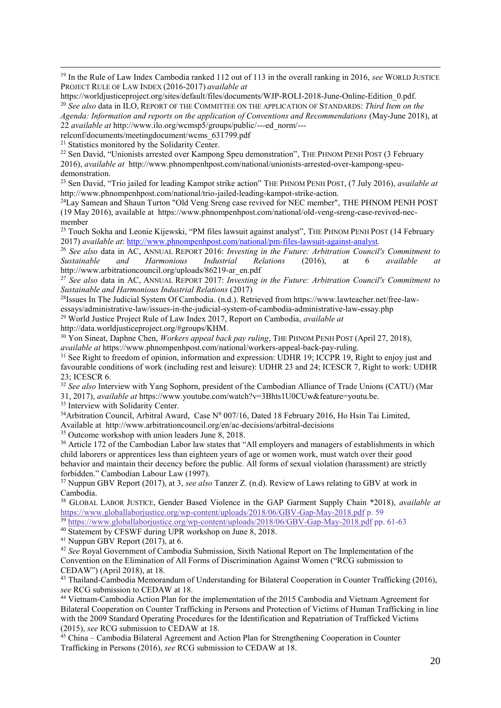<sup>19</sup> In the Rule of Law Index Cambodia ranked 112 out of 113 in the overall ranking in 2016, *see* WORLD JUSTICE PROJECT RULE OF LAW INDEX (2016-2017) *available at* 

https://worldjusticeproject.org/sites/default/files/documents/WJP-ROLI-2018-June-Online-Edition\_0.pdf. <sup>20</sup> *See also* data in ILO, REPORT OF THE COMMITTEE ON THE APPLICATION OF STANDARDS: *Third Item on the Agenda: Information and reports on the application of Conventions and Recommendations* (May-June 2018), at 22 *available at* http://www.ilo.org/wcmsp5/groups/public/---ed\_norm/---

relconf/documents/meetingdocument/wcms\_631799.pdf

<sup>21</sup> Statistics monitored by the Solidarity Center.

1

<sup>22</sup> Sen David, "Unionists arrested over Kampong Speu demonstration", THE PHNOM PENH POST (3 February 2016), *available at* http://www.phnompenhpost.com/national/unionists-arrested-over-kampong-speudemonstration.

<sup>23</sup> Sen David, "Trio jailed for leading Kampot strike action" THE PHNOM PENH POST, (7 July 2016), *available at*  http://www.phnompenhpost.com/national/trio-jailed-leading-kampot-strike-action.

<sup>24</sup>Lay Samean and Shaun Turton "Old Veng Sreng case revived for NEC member", THE PHNOM PENH POST (19 May 2016), available at https://www.phnompenhpost.com/national/old-veng-sreng-case-revived-necmember

<sup>25</sup> Touch Sokha and Leonie Kijewski, "PM files lawsuit against analyst", THE PHNOM PENH POST (14 February 2017) *available at*[: http://www.phnompenhpost.com/national/pm-files-lawsuit-against-analyst.](http://www.phnompenhpost.com/national/pm-files-lawsuit-against-analyst)

<sup>26</sup> *See also* data in AC, ANNUAL REPORT 2016: *Investing in the Future: Arbitration Council's Commitment to Sustainable and Harmonious Industrial Relations* (2016), at 6 *available at*  http://www.arbitrationcouncil.org/uploads/86219-ar\_en.pdf

<sup>27</sup> *See also* data in AC, ANNUAL REPORT 2017: *Investing in the Future: Arbitration Council's Commitment to Sustainable and Harmonious Industrial Relations* (2017)

<sup>28</sup>Issues In The Judicial System Of Cambodia. (n.d.). Retrieved from https://www.lawteacher.net/free-lawessays/administrative-law/issues-in-the-judicial-system-of-cambodia-administrative-law-essay.php

<sup>29</sup> World Justice Project Rule of Law Index 2017, Report on Cambodia, *available at*

http://data.worldjusticeproject.org/#groups/KHM.

<sup>30</sup> Yon Sineat, Daphne Chen, *Workers appeal back pay ruling*, THE PHNOM PENH POST (April 27, 2018), *available at* https://www.phnompenhpost.com/national/workers-appeal-back-pay-ruling.

<sup>31</sup> See Right to freedom of opinion, information and expression: UDHR 19; ICCPR 19, Right to enjoy just and favourable conditions of work (including rest and leisure): UDHR 23 and 24; ICESCR 7, Right to work: UDHR 23; ICESCR 6.

<sup>32</sup> See also Interview with Yang Sophorn, president of the Cambodian Alliance of Trade Unions (CATU) (Mar 31, 2017), *available at* https://www.youtube.com/watch?v=3Bhts1U0CUw&feature=youtu.be.

<sup>33</sup> Interview with Solidarity Center.

 $34$ Arbitration Council, Arbitral Award, Case Nº 007/16, Dated 18 February 2016, Ho Hsin Tai Limited, Available at http://www.arbitrationcouncil.org/en/ac-decisions/arbitral-decisions

<sup>35</sup> Outcome workshop with union leaders June 8, 2018.

<sup>36</sup> Article 172 of the Cambodian Labor law states that "All employers and managers of establishments in which child laborers or apprentices less than eighteen years of age or women work, must watch over their good behavior and maintain their decency before the public. All forms of sexual violation (harassment) are strictly forbidden." Cambodian Labour Law (1997).

<sup>37</sup> Nuppun GBV Report (2017), at 3, *see also* Tanzer Z. (n.d). Review of Laws relating to GBV at work in Cambodia.

<sup>38</sup> GLOBAL LABOR JUSTICE, Gender Based Violence in the GAP Garment Supply Chain \*2018), *available at*  <https://www.globallaborjustice.org/wp-content/uploads/2018/06/GBV-Gap-May-2018.pdf> p. 59 <sup>39</sup> https://www.globallaboriustice.org/wp-content/uploads/2018/06/GBV-Gap-May-2018.pdf pp. 61-63

<sup>40</sup> Statement by CFSWF during UPR workshop on June 8, 2018.

<sup>41</sup> Nuppun GBV Report (2017), at 6.

<sup>42</sup> See Royal Government of Cambodia Submission, Sixth National Report on The Implementation of the Convention on the Elimination of All Forms of Discrimination Against Women ("RCG submission to CEDAW") (April 2018), at 18.

<sup>43</sup> Thailand-Cambodia Memorandum of Understanding for Bilateral Cooperation in Counter Trafficking (2016), *see* RCG submission to CEDAW at 18.

<sup>44</sup> Vietnam-Cambodia Action Plan for the implementation of the 2015 Cambodia and Vietnam Agreement for Bilateral Cooperation on Counter Trafficking in Persons and Protection of Victims of Human Trafficking in line with the 2009 Standard Operating Procedures for the Identification and Repatriation of Trafficked Victims (2015), *see* RCG submission to CEDAW at 18.

<sup>45</sup> China – Cambodia Bilateral Agreement and Action Plan for Strengthening Cooperation in Counter Trafficking in Persons (2016), *see* RCG submission to CEDAW at 18.